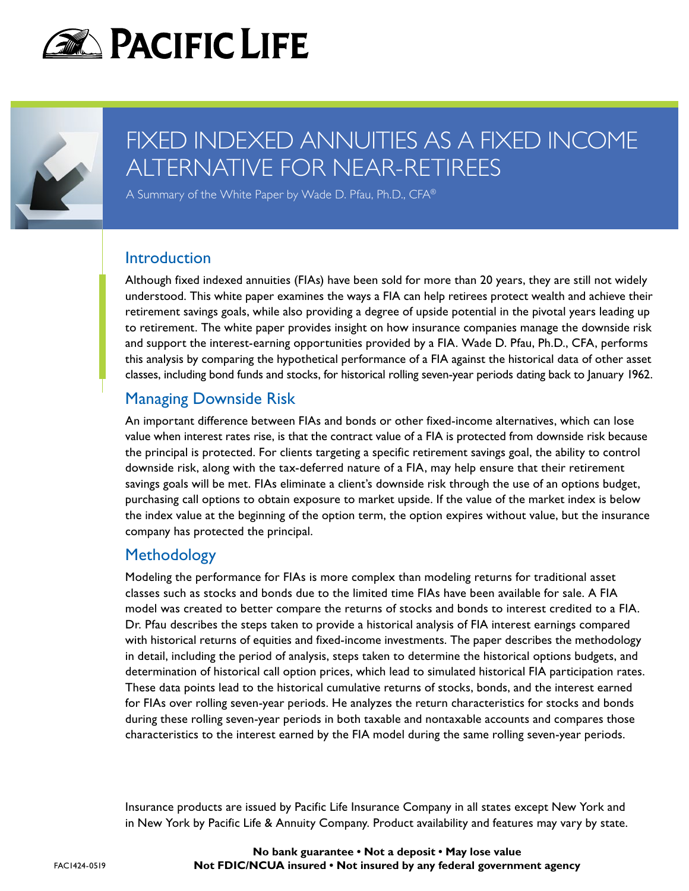



# FIXED INDEXED ANNUITIES AS A FIXED INCOME ALTERNATIVE FOR NEAR-RETIREES

A Summary of the White Paper by Wade D. Pfau, Ph.D., CFA®

#### **Introduction**

Although fixed indexed annuities (FIAs) have been sold for more than 20 years, they are still not widely understood. This white paper examines the ways a FIA can help retirees protect wealth and achieve their retirement savings goals, while also providing a degree of upside potential in the pivotal years leading up to retirement. The white paper provides insight on how insurance companies manage the downside risk and support the interest-earning opportunities provided by a FIA. Wade D. Pfau, Ph.D., CFA, performs this analysis by comparing the hypothetical performance of a FIA against the historical data of other asset classes, including bond funds and stocks, for historical rolling seven-year periods dating back to January 1962.

#### Managing Downside Risk

An important difference between FIAs and bonds or other fixed-income alternatives, which can lose value when interest rates rise, is that the contract value of a FIA is protected from downside risk because the principal is protected. For clients targeting a specific retirement savings goal, the ability to control downside risk, along with the tax-deferred nature of a FIA, may help ensure that their retirement savings goals will be met. FIAs eliminate a client's downside risk through the use of an options budget, purchasing call options to obtain exposure to market upside. If the value of the market index is below the index value at the beginning of the option term, the option expires without value, but the insurance company has protected the principal.

### Methodology

Modeling the performance for FIAs is more complex than modeling returns for traditional asset classes such as stocks and bonds due to the limited time FIAs have been available for sale. A FIA model was created to better compare the returns of stocks and bonds to interest credited to a FIA. Dr. Pfau describes the steps taken to provide a historical analysis of FIA interest earnings compared with historical returns of equities and fixed-income investments. The paper describes the methodology in detail, including the period of analysis, steps taken to determine the historical options budgets, and determination of historical call option prices, which lead to simulated historical FIA participation rates. These data points lead to the historical cumulative returns of stocks, bonds, and the interest earned for FIAs over rolling seven-year periods. He analyzes the return characteristics for stocks and bonds during these rolling seven-year periods in both taxable and nontaxable accounts and compares those characteristics to the interest earned by the FIA model during the same rolling seven-year periods.

Insurance products are issued by Pacific Life Insurance Company in all states except New York and in New York by Pacific Life & Annuity Company. Product availability and features may vary by state.